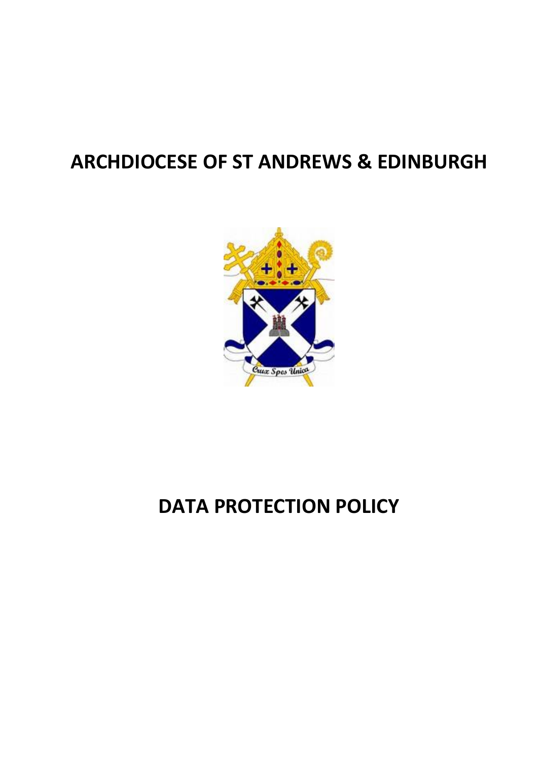## **ARCHDIOCESE OF ST ANDREWS & EDINBURGH**



# **DATA PROTECTION POLICY**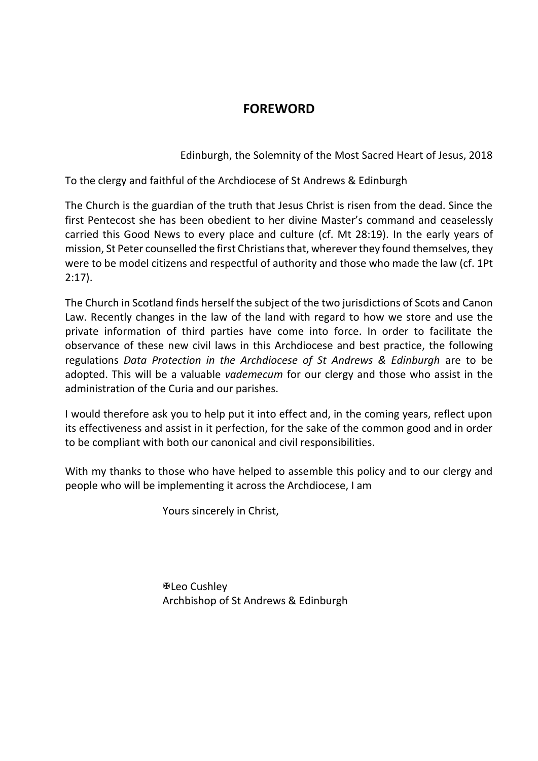### **FOREWORD**

Edinburgh, the Solemnity of the Most Sacred Heart of Jesus, 2018

To the clergy and faithful of the Archdiocese of St Andrews & Edinburgh

The Church is the guardian of the truth that Jesus Christ is risen from the dead. Since the first Pentecost she has been obedient to her divine Master's command and ceaselessly carried this Good News to every place and culture (cf. Mt 28:19). In the early years of mission, St Peter counselled the first Christians that, wherever they found themselves, they were to be model citizens and respectful of authority and those who made the law (cf. 1Pt 2:17).

The Church in Scotland finds herself the subject of the two jurisdictions of Scots and Canon Law. Recently changes in the law of the land with regard to how we store and use the private information of third parties have come into force. In order to facilitate the observance of these new civil laws in this Archdiocese and best practice, the following regulations *Data Protection in the Archdiocese of St Andrews & Edinburgh* are to be adopted. This will be a valuable *vademecum* for our clergy and those who assist in the administration of the Curia and our parishes.

I would therefore ask you to help put it into effect and, in the coming years, reflect upon its effectiveness and assist in it perfection, for the sake of the common good and in order to be compliant with both our canonical and civil responsibilities.

With my thanks to those who have helped to assemble this policy and to our clergy and people who will be implementing it across the Archdiocese, I am

Yours sincerely in Christ,

Leo Cushley Archbishop of St Andrews & Edinburgh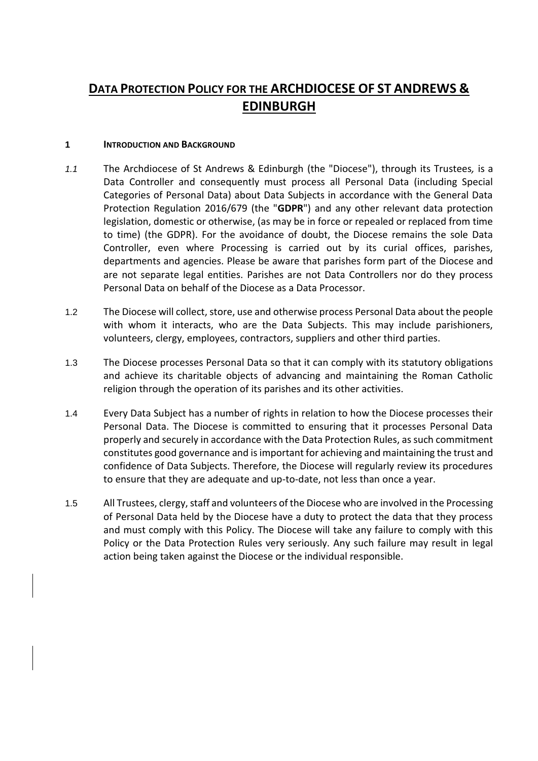## **DATA PROTECTION POLICY FOR THE ARCHDIOCESE OF ST ANDREWS & EDINBURGH**

#### **1 INTRODUCTION AND BACKGROUND**

- *1.1* The Archdiocese of St Andrews & Edinburgh (the "Diocese"), through its Trustees*,* is a Data Controller and consequently must process all Personal Data (including Special Categories of Personal Data) about Data Subjects in accordance with the General Data Protection Regulation 2016/679 (the "**GDPR**") and any other relevant data protection legislation, domestic or otherwise, (as may be in force or repealed or replaced from time to time) (the GDPR). For the avoidance of doubt, the Diocese remains the sole Data Controller, even where Processing is carried out by its curial offices, parishes, departments and agencies. Please be aware that parishes form part of the Diocese and are not separate legal entities. Parishes are not Data Controllers nor do they process Personal Data on behalf of the Diocese as a Data Processor.
- 1.2 The Diocese will collect, store, use and otherwise process Personal Data about the people with whom it interacts, who are the Data Subjects. This may include parishioners, volunteers, clergy, employees, contractors, suppliers and other third parties.
- 1.3 The Diocese processes Personal Data so that it can comply with its statutory obligations and achieve its charitable objects of advancing and maintaining the Roman Catholic religion through the operation of its parishes and its other activities.
- 1.4 Every Data Subject has a number of rights in relation to how the Diocese processes their Personal Data. The Diocese is committed to ensuring that it processes Personal Data properly and securely in accordance with the Data Protection Rules, as such commitment constitutes good governance and is important for achieving and maintaining the trust and confidence of Data Subjects. Therefore, the Diocese will regularly review its procedures to ensure that they are adequate and up-to-date, not less than once a year.
- 1.5 All Trustees, clergy, staff and volunteers of the Diocese who are involved in the Processing of Personal Data held by the Diocese have a duty to protect the data that they process and must comply with this Policy. The Diocese will take any failure to comply with this Policy or the Data Protection Rules very seriously. Any such failure may result in legal action being taken against the Diocese or the individual responsible.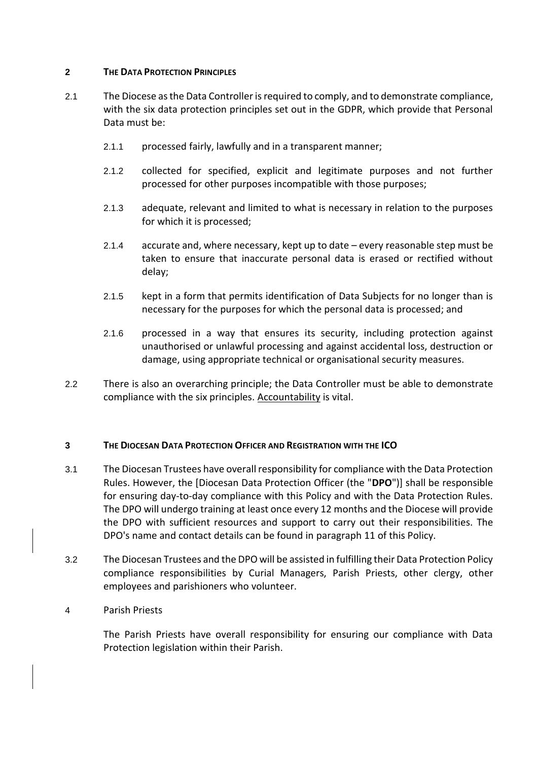#### **2 THE DATA PROTECTION PRINCIPLES**

- 2.1 The Diocese as the Data Controller is required to comply, and to demonstrate compliance, with the six data protection principles set out in the GDPR, which provide that Personal Data must be:
	- 2.1.1 processed fairly, lawfully and in a transparent manner;
	- 2.1.2 collected for specified, explicit and legitimate purposes and not further processed for other purposes incompatible with those purposes;
	- 2.1.3 adequate, relevant and limited to what is necessary in relation to the purposes for which it is processed;
	- 2.1.4 accurate and, where necessary, kept up to date every reasonable step must be taken to ensure that inaccurate personal data is erased or rectified without delay;
	- 2.1.5 kept in a form that permits identification of Data Subjects for no longer than is necessary for the purposes for which the personal data is processed; and
	- 2.1.6 processed in a way that ensures its security, including protection against unauthorised or unlawful processing and against accidental loss, destruction or damage, using appropriate technical or organisational security measures.
- 2.2 There is also an overarching principle; the Data Controller must be able to demonstrate compliance with the six principles. Accountability is vital.

#### **3 THE DIOCESAN DATA PROTECTION OFFICER AND REGISTRATION WITH THE ICO**

- 3.1 The Diocesan Trustees have overall responsibility for compliance with the Data Protection Rules. However, the [Diocesan Data Protection Officer (the "**DPO**")] shall be responsible for ensuring day-to-day compliance with this Policy and with the Data Protection Rules. The DPO will undergo training at least once every 12 months and the Diocese will provide the DPO with sufficient resources and support to carry out their responsibilities. The DPO's name and contact details can be found in paragraph [11](#page-12-0) of this Policy.
- 3.2 The Diocesan Trustees and the DPO will be assisted in fulfilling their Data Protection Policy compliance responsibilities by Curial Managers, Parish Priests, other clergy, other employees and parishioners who volunteer.

#### 4 Parish Priests

The Parish Priests have overall responsibility for ensuring our compliance with Data Protection legislation within their Parish.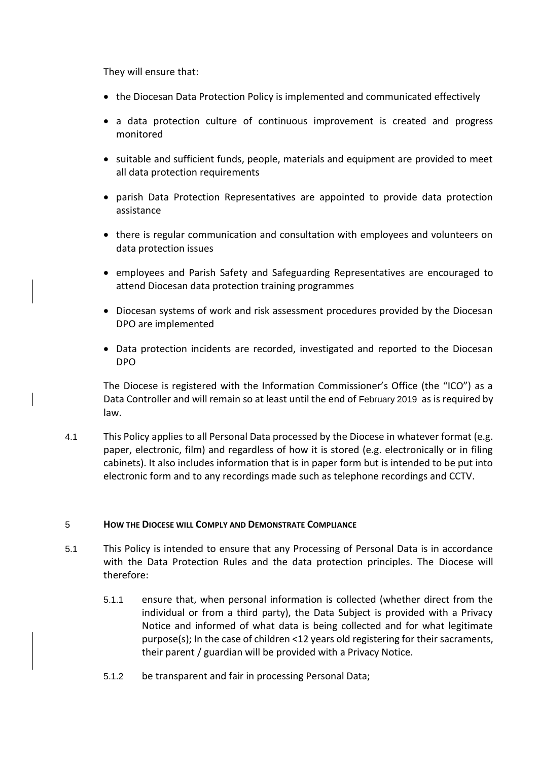They will ensure that:

- the Diocesan Data Protection Policy is implemented and communicated effectively
- a data protection culture of continuous improvement is created and progress monitored
- suitable and sufficient funds, people, materials and equipment are provided to meet all data protection requirements
- parish Data Protection Representatives are appointed to provide data protection assistance
- there is regular communication and consultation with employees and volunteers on data protection issues
- employees and Parish Safety and Safeguarding Representatives are encouraged to attend Diocesan data protection training programmes
- Diocesan systems of work and risk assessment procedures provided by the Diocesan DPO are implemented
- Data protection incidents are recorded, investigated and reported to the Diocesan DPO

The Diocese is registered with the Information Commissioner's Office (the "ICO") as a Data Controller and will remain so at least until the end of February 2019 as is required by law.

4.1 This Policy applies to all Personal Data processed by the Diocese in whatever format (e.g. paper, electronic, film) and regardless of how it is stored (e.g. electronically or in filing cabinets). It also includes information that is in paper form but is intended to be put into electronic form and to any recordings made such as telephone recordings and CCTV.

#### 5 **HOW THE DIOCESE WILL COMPLY AND DEMONSTRATE COMPLIANCE**

- 5.1 This Policy is intended to ensure that any Processing of Personal Data is in accordance with the Data Protection Rules and the data protection principles. The Diocese will therefore:
	- 5.1.1 ensure that, when personal information is collected (whether direct from the individual or from a third party), the Data Subject is provided with a Privacy Notice and informed of what data is being collected and for what legitimate purpose(s); In the case of children <12 years old registering for their sacraments, their parent / guardian will be provided with a Privacy Notice.
	- 5.1.2 be transparent and fair in processing Personal Data;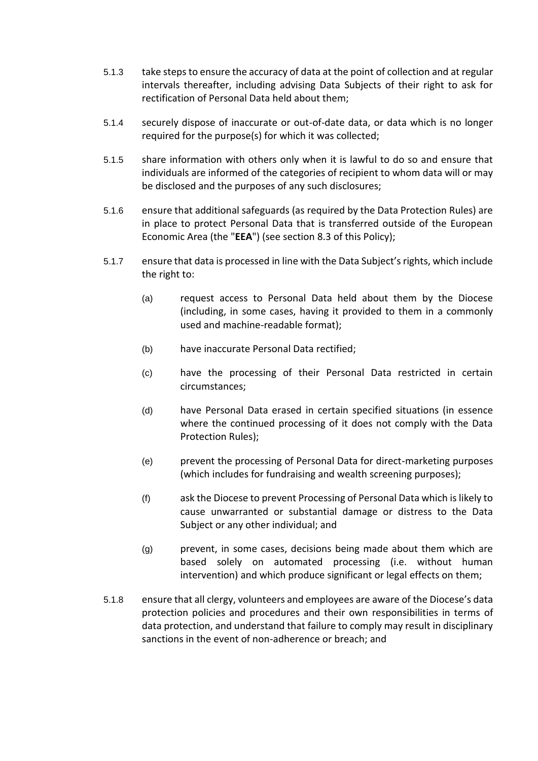- 5.1.3 take steps to ensure the accuracy of data at the point of collection and at regular intervals thereafter, including advising Data Subjects of their right to ask for rectification of Personal Data held about them;
- 5.1.4 securely dispose of inaccurate or out-of-date data, or data which is no longer required for the purpose(s) for which it was collected;
- 5.1.5 share information with others only when it is lawful to do so and ensure that individuals are informed of the categories of recipient to whom data will or may be disclosed and the purposes of any such disclosures;
- 5.1.6 ensure that additional safeguards (as required by the Data Protection Rules) are in place to protect Personal Data that is transferred outside of the European Economic Area (the "**EEA**") (see section [8.3](#page-10-0) of this Policy);
- 5.1.7 ensure that data is processed in line with the Data Subject's rights, which include the right to:
	- (a) request access to Personal Data held about them by the Diocese (including, in some cases, having it provided to them in a commonly used and machine-readable format);
	- (b) have inaccurate Personal Data rectified;
	- (c) have the processing of their Personal Data restricted in certain circumstances;
	- (d) have Personal Data erased in certain specified situations (in essence where the continued processing of it does not comply with the Data Protection Rules);
	- (e) prevent the processing of Personal Data for direct-marketing purposes (which includes for fundraising and wealth screening purposes);
	- (f) ask the Diocese to prevent Processing of Personal Data which is likely to cause unwarranted or substantial damage or distress to the Data Subject or any other individual; and
	- (g) prevent, in some cases, decisions being made about them which are based solely on automated processing (i.e. without human intervention) and which produce significant or legal effects on them;
- 5.1.8 ensure that all clergy, volunteers and employees are aware of the Diocese's data protection policies and procedures and their own responsibilities in terms of data protection, and understand that failure to comply may result in disciplinary sanctions in the event of non-adherence or breach; and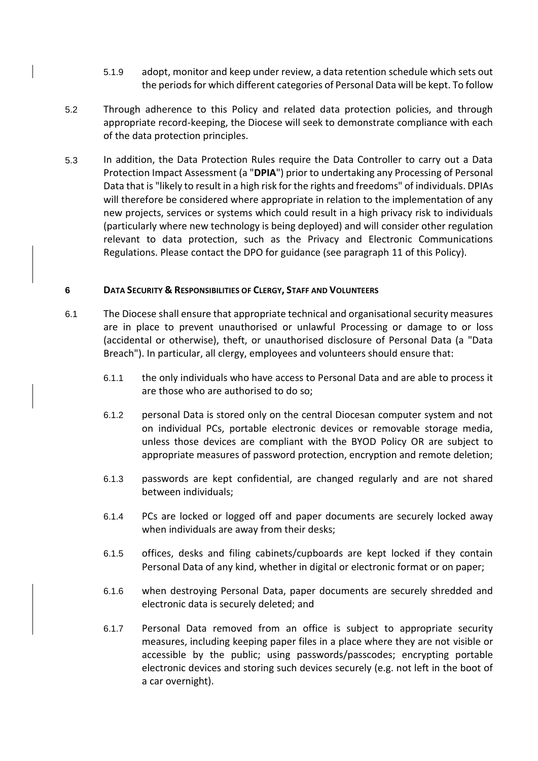- 5.1.9 adopt, monitor and keep under review, a data retention schedule which sets out the periods for which different categories of Personal Data will be kept. To follow
- 5.2 Through adherence to this Policy and related data protection policies, and through appropriate record-keeping, the Diocese will seek to demonstrate compliance with each of the data protection principles.
- 5.3 In addition, the Data Protection Rules require the Data Controller to carry out a Data Protection Impact Assessment (a "**DPIA**") prior to undertaking any Processing of Personal Data that is "likely to result in a high risk for the rights and freedoms" of individuals. DPIAs will therefore be considered where appropriate in relation to the implementation of any new projects, services or systems which could result in a high privacy risk to individuals (particularly where new technology is being deployed) and will consider other regulation relevant to data protection, such as the Privacy and Electronic Communications Regulations. Please contact the DPO for guidance (see paragraph [11](#page-12-0) of this Policy).

#### **6 DATA SECURITY & RESPONSIBILITIES OF CLERGY, STAFF AND VOLUNTEERS**

- 6.1 The Diocese shall ensure that appropriate technical and organisational security measures are in place to prevent unauthorised or unlawful Processing or damage to or loss (accidental or otherwise), theft, or unauthorised disclosure of Personal Data (a "Data Breach"). In particular, all clergy, employees and volunteers should ensure that:
	- 6.1.1 the only individuals who have access to Personal Data and are able to process it are those who are authorised to do so;
	- 6.1.2 personal Data is stored only on the central Diocesan computer system and not on individual PCs, portable electronic devices or removable storage media, unless those devices are compliant with the BYOD Policy OR are subject to appropriate measures of password protection, encryption and remote deletion;
	- 6.1.3 passwords are kept confidential, are changed regularly and are not shared between individuals;
	- 6.1.4 PCs are locked or logged off and paper documents are securely locked away when individuals are away from their desks;
	- 6.1.5 offices, desks and filing cabinets/cupboards are kept locked if they contain Personal Data of any kind, whether in digital or electronic format or on paper;
	- 6.1.6 when destroying Personal Data, paper documents are securely shredded and electronic data is securely deleted; and
	- 6.1.7 Personal Data removed from an office is subject to appropriate security measures, including keeping paper files in a place where they are not visible or accessible by the public; using passwords/passcodes; encrypting portable electronic devices and storing such devices securely (e.g. not left in the boot of a car overnight).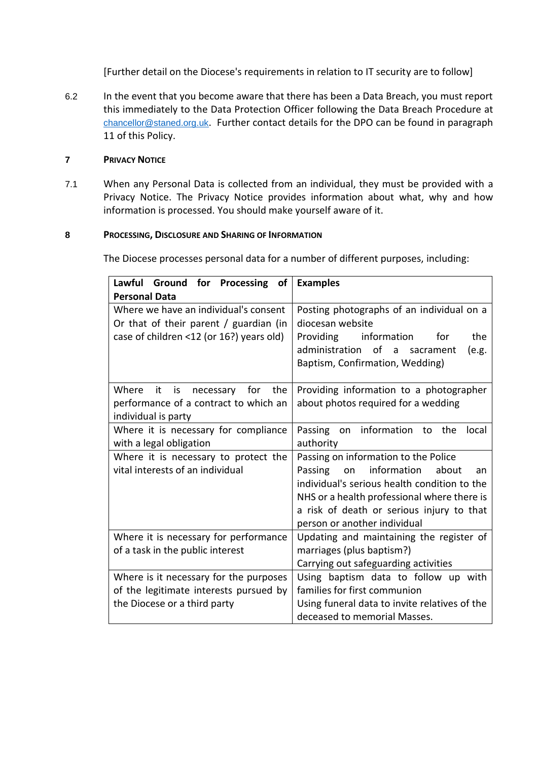[Further detail on the Diocese's requirements in relation to IT security are to follow]

6.2 In the event that you become aware that there has been a Data Breach, you must report this immediately to the Data Protection Officer following the Data Breach Procedure at [chancellor@staned.org.uk](mailto:chancellor@staned.org.uk). Further contact details for the DPO can be found in paragraph [11](#page-12-0) of this Policy.

#### **7 PRIVACY NOTICE**

7.1 When any Personal Data is collected from an individual, they must be provided with a Privacy Notice. The Privacy Notice provides information about what, why and how information is processed. You should make yourself aware of it.

#### **8 PROCESSING, DISCLOSURE AND SHARING OF INFORMATION**

The Diocese processes personal data for a number of different purposes, including:

| Lawful Ground for Processing of<br><b>Personal Data</b>                                                                     | <b>Examples</b>                                                                                                                                                                                                                                                 |
|-----------------------------------------------------------------------------------------------------------------------------|-----------------------------------------------------------------------------------------------------------------------------------------------------------------------------------------------------------------------------------------------------------------|
| Where we have an individual's consent<br>Or that of their parent / guardian (in<br>case of children <12 (or 16?) years old) | Posting photographs of an individual on a<br>diocesan website<br>the<br>information<br>Providing<br>for<br>administration of a<br>(e.g.<br>sacrament<br>Baptism, Confirmation, Wedding)                                                                         |
| is<br>necessary for<br>Where<br>it.<br>the<br>performance of a contract to which an<br>individual is party                  | Providing information to a photographer<br>about photos required for a wedding                                                                                                                                                                                  |
| Where it is necessary for compliance<br>with a legal obligation                                                             | Passing on information<br>to the<br>local<br>authority                                                                                                                                                                                                          |
| Where it is necessary to protect the<br>vital interests of an individual                                                    | Passing on information to the Police<br>information<br>Passing<br>about<br>on<br>an<br>individual's serious health condition to the<br>NHS or a health professional where there is<br>a risk of death or serious injury to that<br>person or another individual |
| Where it is necessary for performance<br>of a task in the public interest                                                   | Updating and maintaining the register of<br>marriages (plus baptism?)<br>Carrying out safeguarding activities                                                                                                                                                   |
| Where is it necessary for the purposes<br>of the legitimate interests pursued by<br>the Diocese or a third party            | Using baptism data to follow up with<br>families for first communion<br>Using funeral data to invite relatives of the<br>deceased to memorial Masses.                                                                                                           |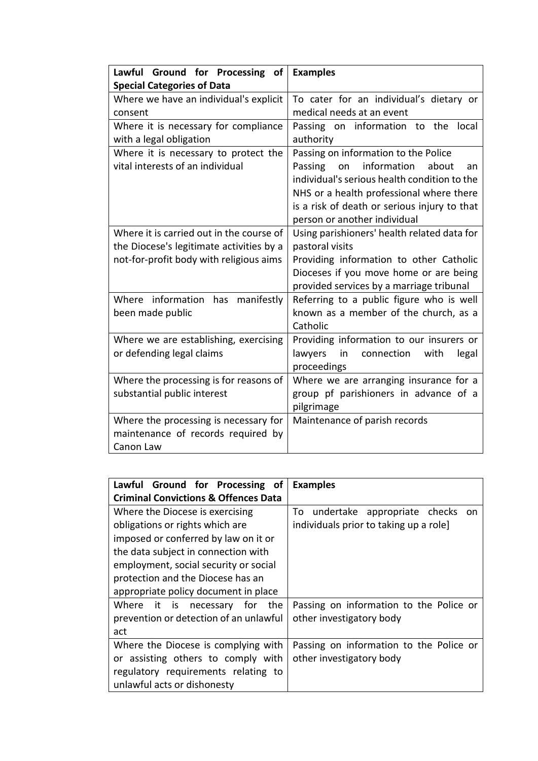| Lawful Ground for Processing of          | <b>Examples</b>                              |
|------------------------------------------|----------------------------------------------|
| <b>Special Categories of Data</b>        |                                              |
| Where we have an individual's explicit   | To cater for an individual's dietary or      |
| consent                                  | medical needs at an event                    |
| Where it is necessary for compliance     | Passing on information to<br>the<br>local    |
| with a legal obligation                  | authority                                    |
| Where it is necessary to protect the     | Passing on information to the Police         |
| vital interests of an individual         | information<br>Passing<br>on<br>about<br>an  |
|                                          | individual's serious health condition to the |
|                                          | NHS or a health professional where there     |
|                                          | is a risk of death or serious injury to that |
|                                          | person or another individual                 |
| Where it is carried out in the course of | Using parishioners' health related data for  |
| the Diocese's legitimate activities by a | pastoral visits                              |
| not-for-profit body with religious aims  | Providing information to other Catholic      |
|                                          | Dioceses if you move home or are being       |
|                                          | provided services by a marriage tribunal     |
| Where information<br>has<br>manifestly   | Referring to a public figure who is well     |
| been made public                         | known as a member of the church, as a        |
|                                          | Catholic                                     |
| Where we are establishing, exercising    | Providing information to our insurers or     |
| or defending legal claims                | lawyers<br>in<br>connection<br>with<br>legal |
|                                          | proceedings                                  |
| Where the processing is for reasons of   | Where we are arranging insurance for a       |
| substantial public interest              | group pf parishioners in advance of a        |
|                                          | pilgrimage                                   |
| Where the processing is necessary for    | Maintenance of parish records                |
| maintenance of records required by       |                                              |
| Canon Law                                |                                              |

| Lawful Ground for Processing of                 | <b>Examples</b>                           |
|-------------------------------------------------|-------------------------------------------|
| <b>Criminal Convictions &amp; Offences Data</b> |                                           |
| Where the Diocese is exercising                 | undertake appropriate checks<br>To<br>on. |
| obligations or rights which are                 | individuals prior to taking up a role]    |
| imposed or conferred by law on it or            |                                           |
| the data subject in connection with             |                                           |
| employment, social security or social           |                                           |
| protection and the Diocese has an               |                                           |
| appropriate policy document in place            |                                           |
| Where it is necessary for the                   | Passing on information to the Police or   |
| prevention or detection of an unlawful          | other investigatory body                  |
| act                                             |                                           |
| Where the Diocese is complying with             | Passing on information to the Police or   |
| or assisting others to comply with              | other investigatory body                  |
| regulatory requirements relating to             |                                           |
| unlawful acts or dishonesty                     |                                           |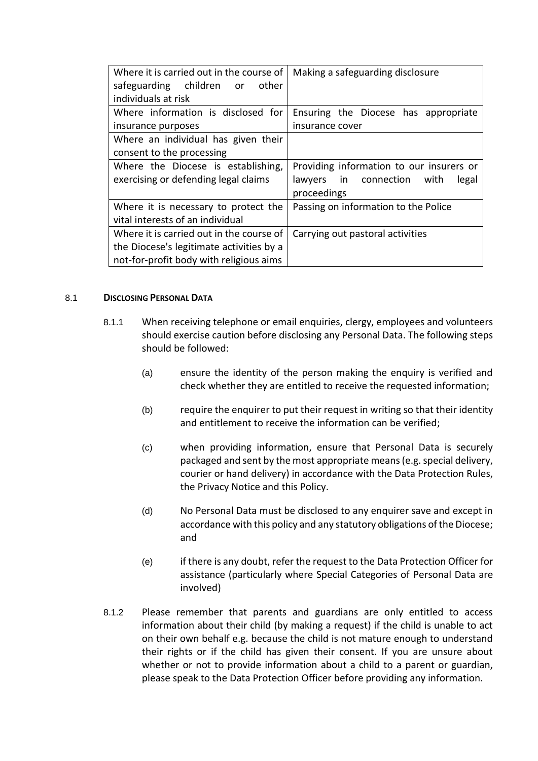| Where it is carried out in the course of<br>safeguarding children or<br>other<br>individuals at risk | Making a safeguarding disclosure         |
|------------------------------------------------------------------------------------------------------|------------------------------------------|
| Where information is disclosed for                                                                   | Ensuring the Diocese has appropriate     |
| insurance purposes                                                                                   | insurance cover                          |
| Where an individual has given their                                                                  |                                          |
| consent to the processing                                                                            |                                          |
| Where the Diocese is establishing,                                                                   | Providing information to our insurers or |
| exercising or defending legal claims                                                                 | lawyers in connection<br>with<br>legal   |
|                                                                                                      | proceedings                              |
| Where it is necessary to protect the                                                                 | Passing on information to the Police     |
| vital interests of an individual                                                                     |                                          |
| Where it is carried out in the course of                                                             | Carrying out pastoral activities         |
| the Diocese's legitimate activities by a                                                             |                                          |
| not-for-profit body with religious aims                                                              |                                          |

#### 8.1 **DISCLOSING PERSONAL DATA**

- 8.1.1 When receiving telephone or email enquiries, clergy, employees and volunteers should exercise caution before disclosing any Personal Data. The following steps should be followed:
	- (a) ensure the identity of the person making the enquiry is verified and check whether they are entitled to receive the requested information;
	- (b) require the enquirer to put their request in writing so that their identity and entitlement to receive the information can be verified;
	- (c) when providing information, ensure that Personal Data is securely packaged and sent by the most appropriate means (e.g. special delivery, courier or hand delivery) in accordance with the Data Protection Rules, the Privacy Notice and this Policy.
	- (d) No Personal Data must be disclosed to any enquirer save and except in accordance with this policy and any statutory obligations of the Diocese; and
	- (e) if there is any doubt, refer the request to the Data Protection Officer for assistance (particularly where Special Categories of Personal Data are involved)
- 8.1.2 Please remember that parents and guardians are only entitled to access information about their child (by making a request) if the child is unable to act on their own behalf e.g. because the child is not mature enough to understand their rights or if the child has given their consent. If you are unsure about whether or not to provide information about a child to a parent or guardian, please speak to the Data Protection Officer before providing any information.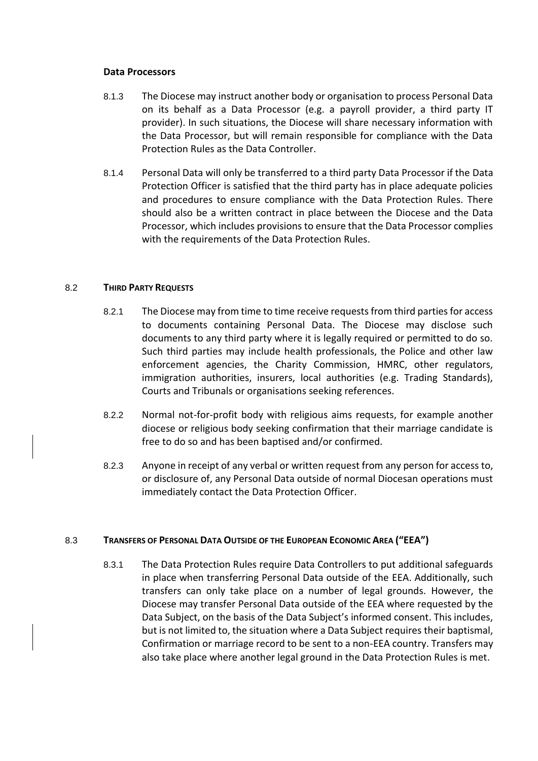#### **Data Processors**

- 8.1.3 The Diocese may instruct another body or organisation to process Personal Data on its behalf as a Data Processor (e.g. a payroll provider, a third party IT provider). In such situations, the Diocese will share necessary information with the Data Processor, but will remain responsible for compliance with the Data Protection Rules as the Data Controller.
- 8.1.4 Personal Data will only be transferred to a third party Data Processor if the Data Protection Officer is satisfied that the third party has in place adequate policies and procedures to ensure compliance with the Data Protection Rules. There should also be a written contract in place between the Diocese and the Data Processor, which includes provisions to ensure that the Data Processor complies with the requirements of the Data Protection Rules.

#### 8.2 **THIRD PARTY REQUESTS**

- 8.2.1 The Diocese may from time to time receive requests from third parties for access to documents containing Personal Data. The Diocese may disclose such documents to any third party where it is legally required or permitted to do so. Such third parties may include health professionals, the Police and other law enforcement agencies, the Charity Commission, HMRC, other regulators, immigration authorities, insurers, local authorities (e.g. Trading Standards), Courts and Tribunals or organisations seeking references.
- 8.2.2 Normal not-for-profit body with religious aims requests, for example another diocese or religious body seeking confirmation that their marriage candidate is free to do so and has been baptised and/or confirmed*.*
- 8.2.3 Anyone in receipt of any verbal or written request from any person for access to, or disclosure of, any Personal Data outside of normal Diocesan operations must immediately contact the Data Protection Officer.

#### <span id="page-10-0"></span>8.3 **TRANSFERS OF PERSONAL DATA OUTSIDE OF THE EUROPEAN ECONOMIC AREA ("EEA")**

8.3.1 The Data Protection Rules require Data Controllers to put additional safeguards in place when transferring Personal Data outside of the EEA. Additionally, such transfers can only take place on a number of legal grounds. However, the Diocese may transfer Personal Data outside of the EEA where requested by the Data Subject, on the basis of the Data Subject's informed consent. This includes, but is not limited to, the situation where a Data Subject requires their baptismal, Confirmation or marriage record to be sent to a non-EEA country. Transfers may also take place where another legal ground in the Data Protection Rules is met.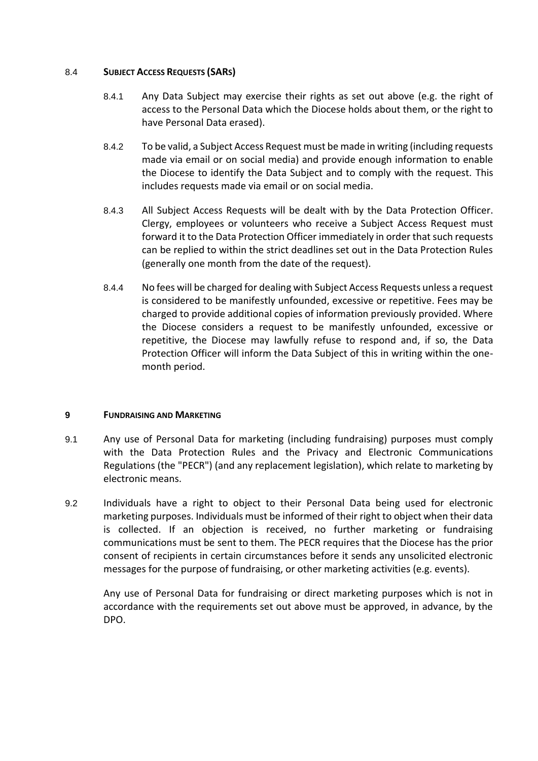#### 8.4 **SUBJECT ACCESS REQUESTS (SARS)**

- 8.4.1 Any Data Subject may exercise their rights as set out above (e.g. the right of access to the Personal Data which the Diocese holds about them, or the right to have Personal Data erased).
- 8.4.2 To be valid, a Subject Access Request must be made in writing (including requests made via email or on social media) and provide enough information to enable the Diocese to identify the Data Subject and to comply with the request. This includes requests made via email or on social media.
- 8.4.3 All Subject Access Requests will be dealt with by the Data Protection Officer. Clergy, employees or volunteers who receive a Subject Access Request must forward it to the Data Protection Officer immediately in order that such requests can be replied to within the strict deadlines set out in the Data Protection Rules (generally one month from the date of the request).
- 8.4.4 No fees will be charged for dealing with Subject Access Requests unless a request is considered to be manifestly unfounded, excessive or repetitive. Fees may be charged to provide additional copies of information previously provided. Where the Diocese considers a request to be manifestly unfounded, excessive or repetitive, the Diocese may lawfully refuse to respond and, if so, the Data Protection Officer will inform the Data Subject of this in writing within the onemonth period.

#### **9 FUNDRAISING AND MARKETING**

- 9.1 Any use of Personal Data for marketing (including fundraising) purposes must comply with the Data Protection Rules and the Privacy and Electronic Communications Regulations (the "PECR") (and any replacement legislation), which relate to marketing by electronic means.
- 9.2 Individuals have a right to object to their Personal Data being used for electronic marketing purposes. Individuals must be informed of their right to object when their data is collected. If an objection is received, no further marketing or fundraising communications must be sent to them. The PECR requires that the Diocese has the prior consent of recipients in certain circumstances before it sends any unsolicited electronic messages for the purpose of fundraising, or other marketing activities (e.g. events).

Any use of Personal Data for fundraising or direct marketing purposes which is not in accordance with the requirements set out above must be approved, in advance, by the DPO.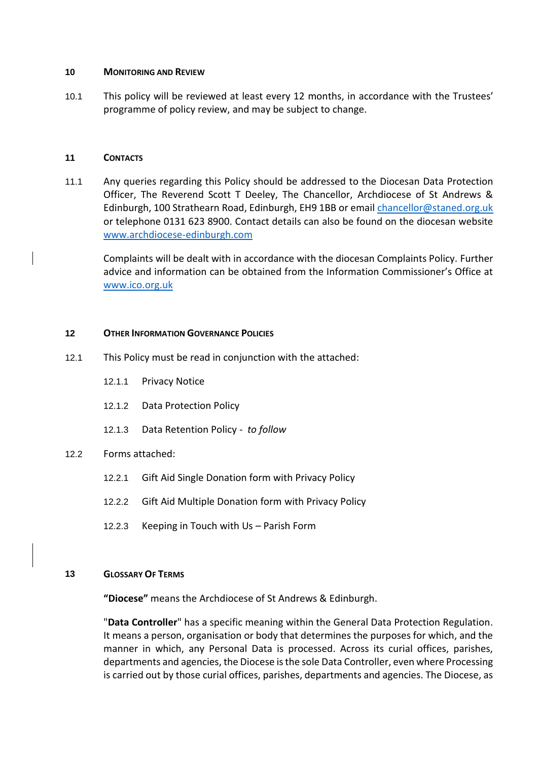#### **10 MONITORING AND REVIEW**

10.1 This policy will be reviewed at least every 12 months, in accordance with the Trustees' programme of policy review, and may be subject to change.

#### <span id="page-12-0"></span>**11 CONTACTS**

11.1 Any queries regarding this Policy should be addressed to the Diocesan Data Protection Officer, The Reverend Scott T Deeley, The Chancellor, Archdiocese of St Andrews & Edinburgh, 100 Strathearn Road, Edinburgh, EH9 1BB or email [chancellor@staned.org.uk](mailto:chancellor@staned.org.uk) or telephone 0131 623 8900. Contact details can also be found on the diocesan website www.archdiocese-edinburgh.com

Complaints will be dealt with in accordance with the diocesan Complaints Policy. Further advice and information can be obtained from the Information Commissioner's Office at [www.ico.org.uk](http://www.ico.org.uk/)

#### **12 OTHER INFORMATION GOVERNANCE POLICIES**

- 12.1 This Policy must be read in conjunction with the attached:
	- 12.1.1 Privacy Notice
	- 12.1.2 Data Protection Policy
	- 12.1.3 Data Retention Policy  *to follow*

#### 12.2 Forms attached:

- 12.2.1 Gift Aid Single Donation form with Privacy Policy
- 12.2.2 Gift Aid Multiple Donation form with Privacy Policy
- 12.2.3 Keeping in Touch with Us Parish Form

#### **13 GLOSSARY OF TERMS**

**"Diocese"** means the Archdiocese of St Andrews & Edinburgh.

"**Data Controller**" has a specific meaning within the General Data Protection Regulation. It means a person, organisation or body that determines the purposes for which, and the manner in which, any Personal Data is processed. Across its curial offices, parishes, departments and agencies, the Diocese is the sole Data Controller, even where Processing is carried out by those curial offices, parishes, departments and agencies. The Diocese, as